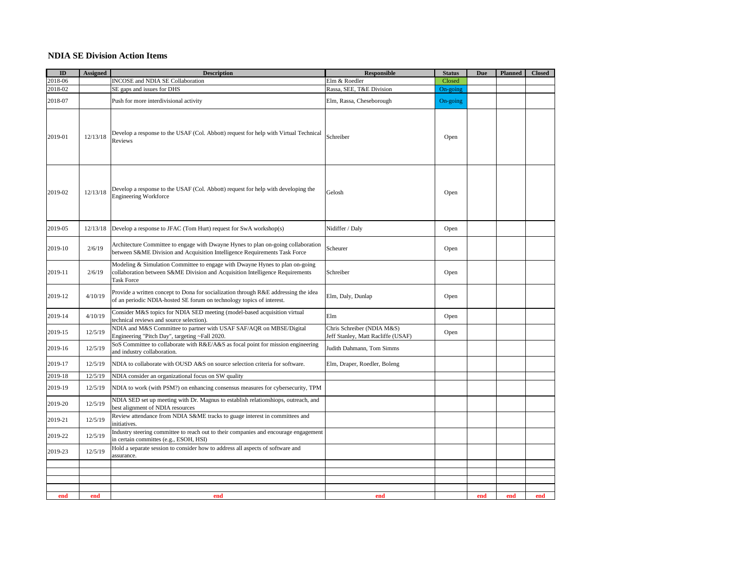## **NDIA SE Division Action Items**

| $\mathbf{ID}$ | <b>Assigned</b> | <b>Description</b>                                                                                                                                                                 | <b>Responsible</b>                                               | <b>Status</b> | <b>Due</b> | <b>Planned</b> | <b>Closed</b> |
|---------------|-----------------|------------------------------------------------------------------------------------------------------------------------------------------------------------------------------------|------------------------------------------------------------------|---------------|------------|----------------|---------------|
| 2018-06       |                 | <b>INCOSE</b> and NDIA SE Collaboration                                                                                                                                            | Elm & Roedler                                                    | Closed        |            |                |               |
| 2018-02       |                 | SE gaps and issues for DHS                                                                                                                                                         | Rassa, SEE, T&E Division                                         | On-going      |            |                |               |
| 2018-07       |                 | Push for more interdivisional activity                                                                                                                                             | Elm, Rassa, Cheseborough                                         | On-going      |            |                |               |
| 2019-01       | 12/13/18        | Develop a response to the USAF (Col. Abbott) request for help with Virtual Technical<br>Reviews                                                                                    | Schreiber                                                        | Open          |            |                |               |
| 2019-02       | 12/13/18        | Develop a response to the USAF (Col. Abbott) request for help with developing the<br><b>Engineering Workforce</b>                                                                  | Gelosh                                                           | Open          |            |                |               |
| 2019-05       | 12/13/18        | Develop a response to JFAC (Tom Hurt) request for SwA workshop(s)                                                                                                                  | Nidiffer / Daly                                                  | Open          |            |                |               |
| 2019-10       | 2/6/19          | Architecture Committee to engage with Dwayne Hynes to plan on-going collaboration<br>between S&ME Division and Acquisition Intelligence Requirements Task Force                    | Scheurer                                                         | Open          |            |                |               |
| 2019-11       | 2/6/19          | Modeling & Simulation Committee to engage with Dwayne Hynes to plan on-going<br>collaboration between S&ME Division and Acquisition Intelligence Requirements<br><b>Task Force</b> | Schreiber                                                        | Open          |            |                |               |
| 2019-12       | 4/10/19         | Provide a written concept to Dona for socialization through R&E addressing the idea<br>of an periodic NDIA-hosted SE forum on technology topics of interest.                       | Elm, Daly, Dunlap                                                | Open          |            |                |               |
| 2019-14       | 4/10/19         | Consider M&S topics for NDIA SED meeting (model-based acquisition virtual<br>technical reviews and source selection).                                                              | Elm                                                              | Open          |            |                |               |
| 2019-15       | 12/5/19         | NDIA and M&S Committee to partner with USAF SAF/AQR on MBSE/Digital<br>Engineering "Pitch Day", targeting ~Fall 2020.                                                              | Chris Schreiber (NDIA M&S)<br>Jeff Stanley, Matt Racliffe (USAF) | Open          |            |                |               |
| 2019-16       | 12/5/19         | SoS Committee to collaborate with R&E/A&S as focal point for mission engineering<br>and industry collaboration.                                                                    | Judith Dahmann, Tom Simms                                        |               |            |                |               |
| 2019-17       | 12/5/19         | NDIA to collaborate with OUSD A&S on source selection criteria for software.                                                                                                       | Elm, Draper, Roedler, Boleng                                     |               |            |                |               |
| 2019-18       | 12/5/19         | NDIA consider an organizational focus on SW quality                                                                                                                                |                                                                  |               |            |                |               |
| 2019-19       | 12/5/19         | NDIA to work (with PSM?) on enhancing consensus measures for cybersecurity, TPM                                                                                                    |                                                                  |               |            |                |               |
| 2019-20       | 12/5/19         | NDIA SED set up meeting with Dr. Magnus to establish relationshiops, outreach, and<br>best alignment of NDIA resources                                                             |                                                                  |               |            |                |               |
| 2019-21       | 12/5/19         | Review attendance from NDIA S&ME tracks to guage interest in committees and<br>initiatives.                                                                                        |                                                                  |               |            |                |               |
| 2019-22       | 12/5/19         | Industry steering committee to reach out to their companies and encourage engagement<br>in certain committes (e.g., ESOH, HSI)                                                     |                                                                  |               |            |                |               |
| 2019-23       | 12/5/19         | Hold a separate session to consider how to address all aspects of software and<br>assurance.                                                                                       |                                                                  |               |            |                |               |
|               |                 |                                                                                                                                                                                    |                                                                  |               |            |                |               |
|               |                 |                                                                                                                                                                                    |                                                                  |               |            |                |               |
|               |                 |                                                                                                                                                                                    |                                                                  |               |            |                |               |
| end           | end             | end                                                                                                                                                                                | end                                                              |               | end        | end            | end           |